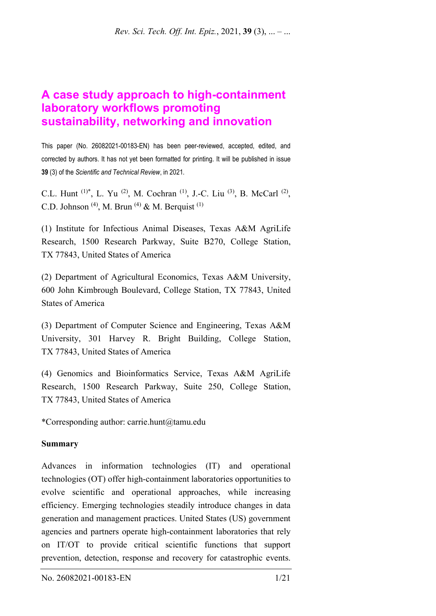# **A case study approach to high-containment laboratory workflows promoting sustainability, networking and innovation**

This paper (No. 26082021-00183-EN) has been peer-reviewed, accepted, edited, and corrected by authors. It has not yet been formatted for printing. It will be published in issue **39** (3) of the *Scientific and Technical Review*, in 2021*.*

C.L. Hunt (1)\*, L. Yu (2), M. Cochran (1), J.-C. Liu (3), B. McCarl (2), C.D. Johnson<sup>(4)</sup>, M. Brun<sup>(4)</sup> & M. Berquist<sup>(1)</sup>

(1) Institute for Infectious Animal Diseases, Texas A&M AgriLife Research, 1500 Research Parkway, Suite B270, College Station, TX 77843, United States of America

(2) Department of Agricultural Economics, Texas A&M University, 600 John Kimbrough Boulevard, College Station, TX 77843, United States of America

(3) Department of Computer Science and Engineering, Texas A&M University, 301 Harvey R. Bright Building, College Station, TX 77843, United States of America

(4) Genomics and Bioinformatics Service, Texas A&M AgriLife Research, 1500 Research Parkway, Suite 250, College Station, TX 77843, United States of America

\*Corresponding author: carrie.hunt@tamu.edu

#### **Summary**

Advances in information technologies (IT) and operational technologies (OT) offer high-containment laboratories opportunities to evolve scientific and operational approaches, while increasing efficiency. Emerging technologies steadily introduce changes in data generation and management practices. United States (US) government agencies and partners operate high-containment laboratories that rely on IT/OT to provide critical scientific functions that support prevention, detection, response and recovery for catastrophic events.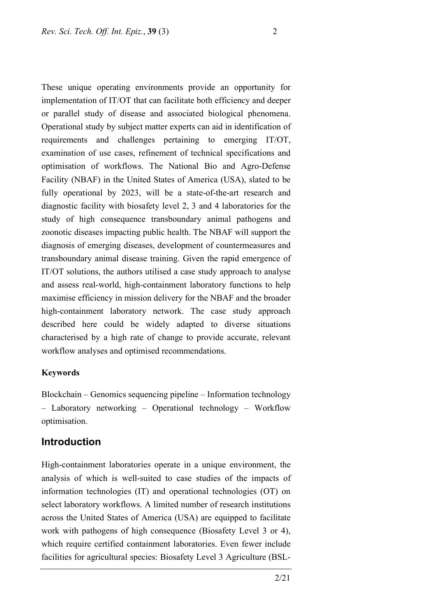These unique operating environments provide an opportunity for implementation of IT/OT that can facilitate both efficiency and deeper or parallel study of disease and associated biological phenomena. Operational study by subject matter experts can aid in identification of requirements and challenges pertaining to emerging IT/OT, examination of use cases, refinement of technical specifications and optimisation of workflows. The National Bio and Agro-Defense Facility (NBAF) in the United States of America (USA), slated to be fully operational by 2023, will be a state-of-the-art research and diagnostic facility with biosafety level 2, 3 and 4 laboratories for the study of high consequence transboundary animal pathogens and zoonotic diseases impacting public health. The NBAF will support the diagnosis of emerging diseases, development of countermeasures and transboundary animal disease training. Given the rapid emergence of IT/OT solutions, the authors utilised a case study approach to analyse and assess real-world, high-containment laboratory functions to help maximise efficiency in mission delivery for the NBAF and the broader high-containment laboratory network. The case study approach described here could be widely adapted to diverse situations characterised by a high rate of change to provide accurate, relevant workflow analyses and optimised recommendations.

#### **Keywords**

Blockchain – Genomics sequencing pipeline – Information technology – Laboratory networking – Operational technology – Workflow optimisation.

### **Introduction**

High-containment laboratories operate in a unique environment, the analysis of which is well-suited to case studies of the impacts of information technologies (IT) and operational technologies (OT) on select laboratory workflows. A limited number of research institutions across the United States of America (USA) are equipped to facilitate work with pathogens of high consequence (Biosafety Level 3 or 4), which require certified containment laboratories. Even fewer include facilities for agricultural species: Biosafety Level 3 Agriculture (BSL-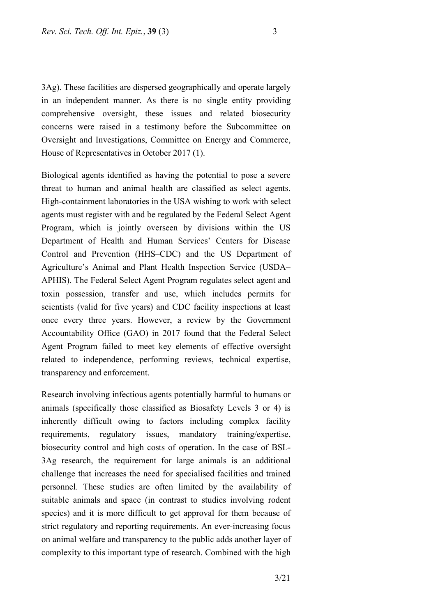3Ag). These facilities are dispersed geographically and operate largely in an independent manner. As there is no single entity providing comprehensive oversight, these issues and related biosecurity concerns were raised in a testimony before the Subcommittee on Oversight and Investigations, Committee on Energy and Commerce, House of Representatives in October 2017 (1).

Biological agents identified as having the potential to pose a severe threat to human and animal health are classified as select agents. High-containment laboratories in the USA wishing to work with select agents must register with and be regulated by the Federal Select Agent Program, which is jointly overseen by divisions within the US Department of Health and Human Services' Centers for Disease Control and Prevention (HHS–CDC) and the US Department of Agriculture's Animal and Plant Health Inspection Service (USDA– APHIS). The Federal Select Agent Program regulates select agent and toxin possession, transfer and use, which includes permits for scientists (valid for five years) and CDC facility inspections at least once every three years. However, a review by the Government Accountability Office (GAO) in 2017 found that the Federal Select Agent Program failed to meet key elements of effective oversight related to independence, performing reviews, technical expertise, transparency and enforcement.

Research involving infectious agents potentially harmful to humans or animals (specifically those classified as Biosafety Levels 3 or 4) is inherently difficult owing to factors including complex facility requirements, regulatory issues, mandatory training/expertise, biosecurity control and high costs of operation. In the case of BSL-3Ag research, the requirement for large animals is an additional challenge that increases the need for specialised facilities and trained personnel. These studies are often limited by the availability of suitable animals and space (in contrast to studies involving rodent species) and it is more difficult to get approval for them because of strict regulatory and reporting requirements. An ever-increasing focus on animal welfare and transparency to the public adds another layer of complexity to this important type of research. Combined with the high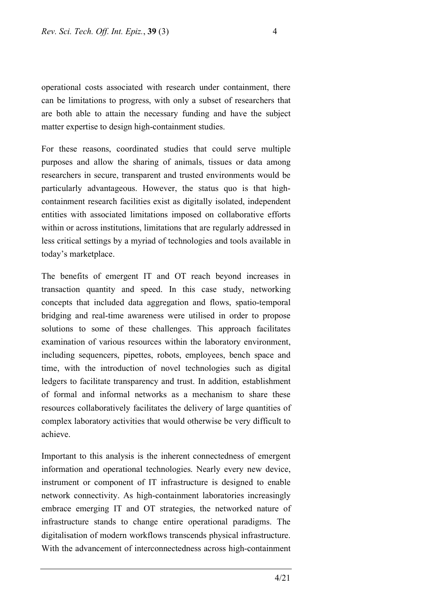operational costs associated with research under containment, there can be limitations to progress, with only a subset of researchers that are both able to attain the necessary funding and have the subject matter expertise to design high-containment studies.

For these reasons, coordinated studies that could serve multiple purposes and allow the sharing of animals, tissues or data among researchers in secure, transparent and trusted environments would be particularly advantageous. However, the status quo is that highcontainment research facilities exist as digitally isolated, independent entities with associated limitations imposed on collaborative efforts within or across institutions, limitations that are regularly addressed in less critical settings by a myriad of technologies and tools available in today's marketplace.

The benefits of emergent IT and OT reach beyond increases in transaction quantity and speed. In this case study, networking concepts that included data aggregation and flows, spatio-temporal bridging and real-time awareness were utilised in order to propose solutions to some of these challenges. This approach facilitates examination of various resources within the laboratory environment, including sequencers, pipettes, robots, employees, bench space and time, with the introduction of novel technologies such as digital ledgers to facilitate transparency and trust. In addition, establishment of formal and informal networks as a mechanism to share these resources collaboratively facilitates the delivery of large quantities of complex laboratory activities that would otherwise be very difficult to achieve.

Important to this analysis is the inherent connectedness of emergent information and operational technologies. Nearly every new device, instrument or component of IT infrastructure is designed to enable network connectivity. As high-containment laboratories increasingly embrace emerging IT and OT strategies, the networked nature of infrastructure stands to change entire operational paradigms. The digitalisation of modern workflows transcends physical infrastructure. With the advancement of interconnectedness across high-containment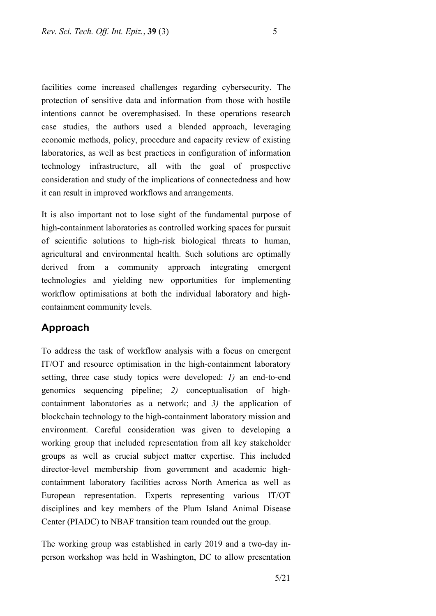facilities come increased challenges regarding cybersecurity. The protection of sensitive data and information from those with hostile intentions cannot be overemphasised. In these operations research case studies, the authors used a blended approach, leveraging economic methods, policy, procedure and capacity review of existing laboratories, as well as best practices in configuration of information technology infrastructure, all with the goal of prospective consideration and study of the implications of connectedness and how it can result in improved workflows and arrangements.

It is also important not to lose sight of the fundamental purpose of high-containment laboratories as controlled working spaces for pursuit of scientific solutions to high-risk biological threats to human, agricultural and environmental health. Such solutions are optimally derived from a community approach integrating emergent technologies and yielding new opportunities for implementing workflow optimisations at both the individual laboratory and highcontainment community levels.

### **Approach**

To address the task of workflow analysis with a focus on emergent IT/OT and resource optimisation in the high-containment laboratory setting, three case study topics were developed: *1)* an end-to-end genomics sequencing pipeline; *2)* conceptualisation of highcontainment laboratories as a network; and *3)* the application of blockchain technology to the high-containment laboratory mission and environment. Careful consideration was given to developing a working group that included representation from all key stakeholder groups as well as crucial subject matter expertise. This included director-level membership from government and academic highcontainment laboratory facilities across North America as well as European representation. Experts representing various IT/OT disciplines and key members of the Plum Island Animal Disease Center (PIADC) to NBAF transition team rounded out the group.

The working group was established in early 2019 and a two-day inperson workshop was held in Washington, DC to allow presentation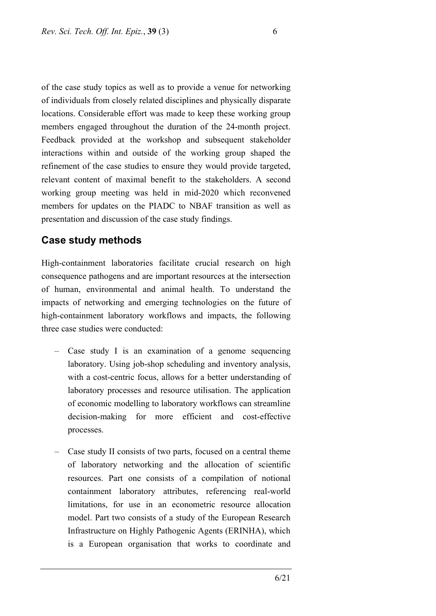of the case study topics as well as to provide a venue for networking of individuals from closely related disciplines and physically disparate locations. Considerable effort was made to keep these working group members engaged throughout the duration of the 24-month project. Feedback provided at the workshop and subsequent stakeholder interactions within and outside of the working group shaped the refinement of the case studies to ensure they would provide targeted, relevant content of maximal benefit to the stakeholders. A second working group meeting was held in mid-2020 which reconvened members for updates on the PIADC to NBAF transition as well as presentation and discussion of the case study findings.

### **Case study methods**

High-containment laboratories facilitate crucial research on high consequence pathogens and are important resources at the intersection of human, environmental and animal health. To understand the impacts of networking and emerging technologies on the future of high-containment laboratory workflows and impacts, the following three case studies were conducted:

- Case study I is an examination of a genome sequencing laboratory. Using job-shop scheduling and inventory analysis, with a cost-centric focus, allows for a better understanding of laboratory processes and resource utilisation. The application of economic modelling to laboratory workflows can streamline decision-making for more efficient and cost-effective processes.
- Case study II consists of two parts, focused on a central theme of laboratory networking and the allocation of scientific resources. Part one consists of a compilation of notional containment laboratory attributes, referencing real-world limitations, for use in an econometric resource allocation model. Part two consists of a study of the European Research Infrastructure on Highly Pathogenic Agents (ERINHA), which is a European organisation that works to coordinate and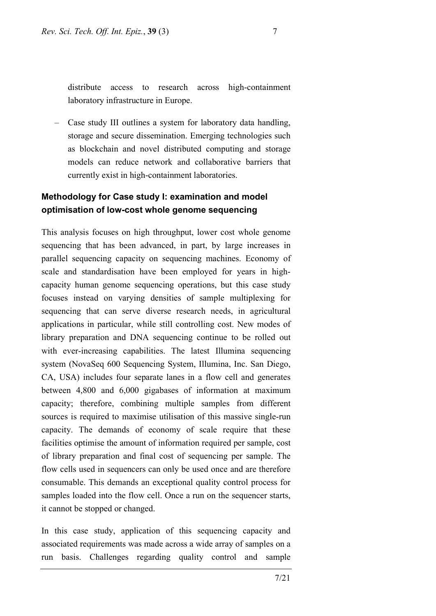distribute access to research across high-containment laboratory infrastructure in Europe.

– Case study III outlines a system for laboratory data handling, storage and secure dissemination. Emerging technologies such as blockchain and novel distributed computing and storage models can reduce network and collaborative barriers that currently exist in high-containment laboratories.

### **Methodology for Case study I: examination and model optimisation of low-cost whole genome sequencing**

This analysis focuses on high throughput, lower cost whole genome sequencing that has been advanced, in part, by large increases in parallel sequencing capacity on sequencing machines. Economy of scale and standardisation have been employed for years in highcapacity human genome sequencing operations, but this case study focuses instead on varying densities of sample multiplexing for sequencing that can serve diverse research needs, in agricultural applications in particular, while still controlling cost. New modes of library preparation and DNA sequencing continue to be rolled out with ever-increasing capabilities. The latest Illumina sequencing system (NovaSeq 600 Sequencing System, Illumina, Inc. San Diego, CA, USA) includes four separate lanes in a flow cell and generates between 4,800 and 6,000 gigabases of information at maximum capacity; therefore, combining multiple samples from different sources is required to maximise utilisation of this massive single-run capacity. The demands of economy of scale require that these facilities optimise the amount of information required per sample, cost of library preparation and final cost of sequencing per sample. The flow cells used in sequencers can only be used once and are therefore consumable. This demands an exceptional quality control process for samples loaded into the flow cell. Once a run on the sequencer starts, it cannot be stopped or changed.

In this case study, application of this sequencing capacity and associated requirements was made across a wide array of samples on a run basis. Challenges regarding quality control and sample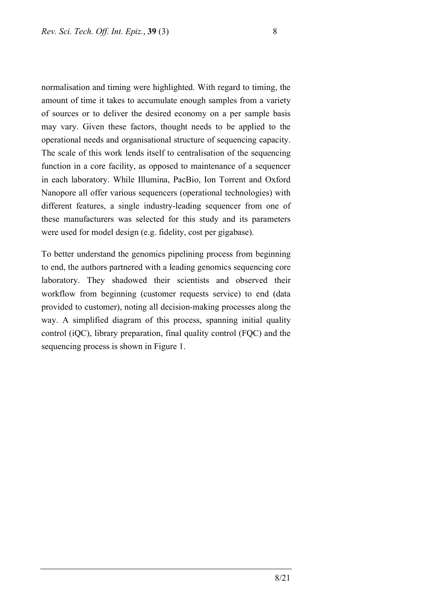normalisation and timing were highlighted. With regard to timing, the amount of time it takes to accumulate enough samples from a variety of sources or to deliver the desired economy on a per sample basis may vary. Given these factors, thought needs to be applied to the operational needs and organisational structure of sequencing capacity. The scale of this work lends itself to centralisation of the sequencing function in a core facility, as opposed to maintenance of a sequencer in each laboratory. While Illumina, PacBio, Ion Torrent and Oxford Nanopore all offer various sequencers (operational technologies) with different features, a single industry-leading sequencer from one of these manufacturers was selected for this study and its parameters were used for model design (e.g. fidelity, cost per gigabase).

To better understand the genomics pipelining process from beginning to end, the authors partnered with a leading genomics sequencing core laboratory. They shadowed their scientists and observed their workflow from beginning (customer requests service) to end (data provided to customer), noting all decision-making processes along the way. A simplified diagram of this process, spanning initial quality control (iQC), library preparation, final quality control (FQC) and the sequencing process is shown in Figure 1.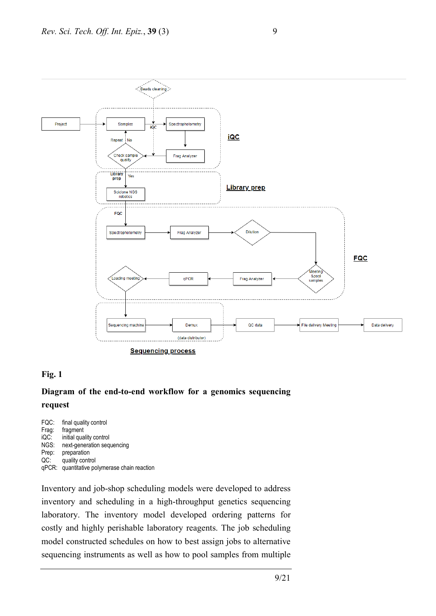

#### **Fig. 1**

### **Diagram of the end-to-end workflow for a genomics sequencing request**

FQC: final quality control<br>Frag: fragment fragment iQC: initial quality control NGS: next-generation sequencing<br>Prep: preparation preparation QC: quality control qPCR: quantitative polymerase chain reaction

Inventory and job-shop scheduling models were developed to address inventory and scheduling in a high-throughput genetics sequencing laboratory. The inventory model developed ordering patterns for costly and highly perishable laboratory reagents. The job scheduling model constructed schedules on how to best assign jobs to alternative sequencing instruments as well as how to pool samples from multiple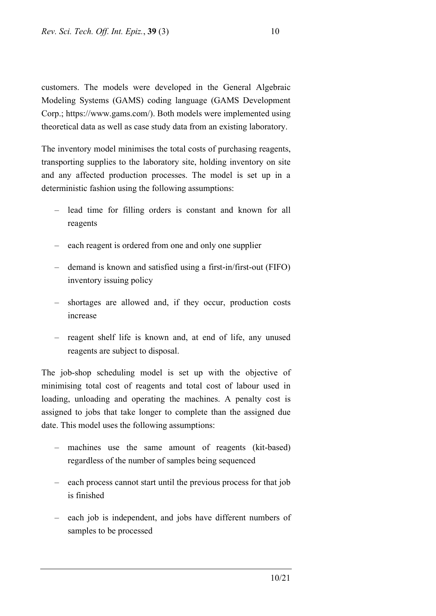customers. The models were developed in the General Algebraic Modeling Systems (GAMS) coding language (GAMS Development Corp.; https://www.gams.com/). Both models were implemented using theoretical data as well as case study data from an existing laboratory.

The inventory model minimises the total costs of purchasing reagents, transporting supplies to the laboratory site, holding inventory on site and any affected production processes. The model is set up in a deterministic fashion using the following assumptions:

- lead time for filling orders is constant and known for all reagents
- each reagent is ordered from one and only one supplier
- demand is known and satisfied using a first-in/first-out (FIFO) inventory issuing policy
- shortages are allowed and, if they occur, production costs increase
- reagent shelf life is known and, at end of life, any unused reagents are subject to disposal.

The job-shop scheduling model is set up with the objective of minimising total cost of reagents and total cost of labour used in loading, unloading and operating the machines. A penalty cost is assigned to jobs that take longer to complete than the assigned due date. This model uses the following assumptions:

- machines use the same amount of reagents (kit-based) regardless of the number of samples being sequenced
- each process cannot start until the previous process for that job is finished
- each job is independent, and jobs have different numbers of samples to be processed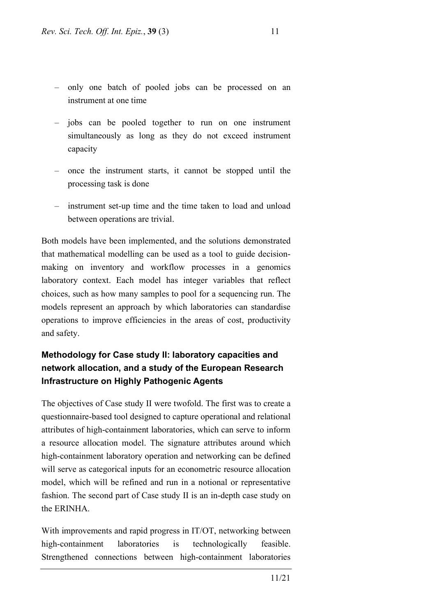- only one batch of pooled jobs can be processed on an instrument at one time
- jobs can be pooled together to run on one instrument simultaneously as long as they do not exceed instrument capacity
- once the instrument starts, it cannot be stopped until the processing task is done
- instrument set-up time and the time taken to load and unload between operations are trivial.

Both models have been implemented, and the solutions demonstrated that mathematical modelling can be used as a tool to guide decisionmaking on inventory and workflow processes in a genomics laboratory context. Each model has integer variables that reflect choices, such as how many samples to pool for a sequencing run. The models represent an approach by which laboratories can standardise operations to improve efficiencies in the areas of cost, productivity and safety.

## **Methodology for Case study II: laboratory capacities and network allocation, and a study of the European Research Infrastructure on Highly Pathogenic Agents**

The objectives of Case study II were twofold. The first was to create a questionnaire-based tool designed to capture operational and relational attributes of high-containment laboratories, which can serve to inform a resource allocation model. The signature attributes around which high-containment laboratory operation and networking can be defined will serve as categorical inputs for an econometric resource allocation model, which will be refined and run in a notional or representative fashion. The second part of Case study II is an in-depth case study on the ERINHA.

With improvements and rapid progress in IT/OT, networking between high-containment laboratories is technologically feasible. Strengthened connections between high-containment laboratories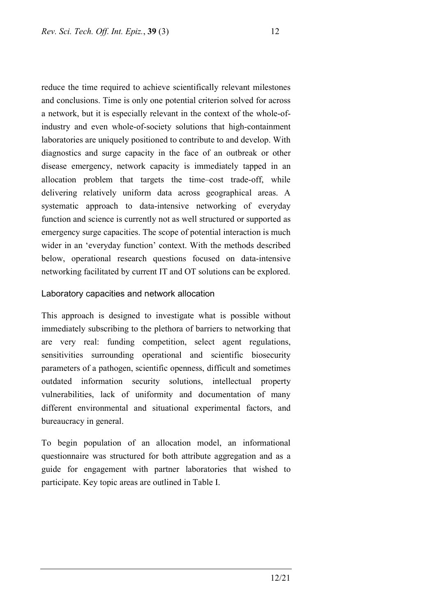reduce the time required to achieve scientifically relevant milestones and conclusions. Time is only one potential criterion solved for across a network, but it is especially relevant in the context of the whole-ofindustry and even whole-of-society solutions that high-containment laboratories are uniquely positioned to contribute to and develop. With diagnostics and surge capacity in the face of an outbreak or other disease emergency, network capacity is immediately tapped in an allocation problem that targets the time–cost trade-off, while delivering relatively uniform data across geographical areas. A systematic approach to data-intensive networking of everyday function and science is currently not as well structured or supported as emergency surge capacities. The scope of potential interaction is much wider in an 'everyday function' context. With the methods described below, operational research questions focused on data-intensive networking facilitated by current IT and OT solutions can be explored.

#### Laboratory capacities and network allocation

This approach is designed to investigate what is possible without immediately subscribing to the plethora of barriers to networking that are very real: funding competition, select agent regulations, sensitivities surrounding operational and scientific biosecurity parameters of a pathogen, scientific openness, difficult and sometimes outdated information security solutions, intellectual property vulnerabilities, lack of uniformity and documentation of many different environmental and situational experimental factors, and bureaucracy in general.

To begin population of an allocation model, an informational questionnaire was structured for both attribute aggregation and as a guide for engagement with partner laboratories that wished to participate. Key topic areas are outlined in Table I.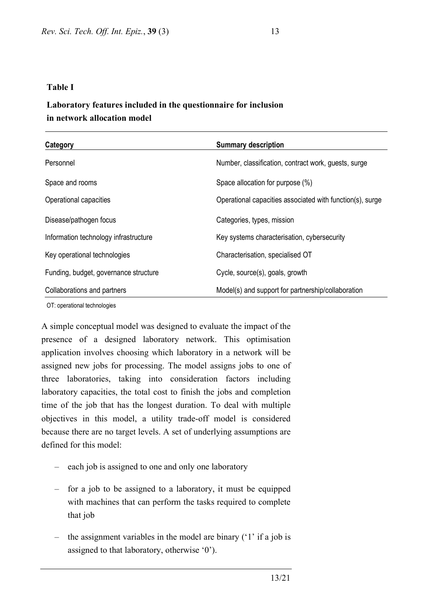#### **Table I**

### **Laboratory features included in the questionnaire for inclusion in network allocation model**

| Category                              | <b>Summary description</b>                                |
|---------------------------------------|-----------------------------------------------------------|
| Personnel                             | Number, classification, contract work, guests, surge      |
| Space and rooms                       | Space allocation for purpose (%)                          |
| Operational capacities                | Operational capacities associated with function(s), surge |
| Disease/pathogen focus                | Categories, types, mission                                |
| Information technology infrastructure | Key systems characterisation, cybersecurity               |
| Key operational technologies          | Characterisation, specialised OT                          |
| Funding, budget, governance structure | Cycle, source(s), goals, growth                           |
| Collaborations and partners           | Model(s) and support for partnership/collaboration        |

OT: operational technologies

A simple conceptual model was designed to evaluate the impact of the presence of a designed laboratory network. This optimisation application involves choosing which laboratory in a network will be assigned new jobs for processing. The model assigns jobs to one of three laboratories, taking into consideration factors including laboratory capacities, the total cost to finish the jobs and completion time of the job that has the longest duration. To deal with multiple objectives in this model, a utility trade-off model is considered because there are no target levels. A set of underlying assumptions are defined for this model:

- each job is assigned to one and only one laboratory
- for a job to be assigned to a laboratory, it must be equipped with machines that can perform the tasks required to complete that job
- the assignment variables in the model are binary ('1' if a job is assigned to that laboratory, otherwise '0').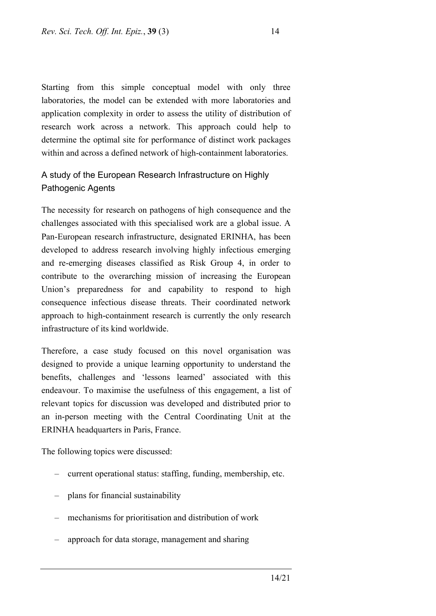Starting from this simple conceptual model with only three laboratories, the model can be extended with more laboratories and application complexity in order to assess the utility of distribution of research work across a network. This approach could help to determine the optimal site for performance of distinct work packages within and across a defined network of high-containment laboratories.

### A study of the European Research Infrastructure on Highly Pathogenic Agents

The necessity for research on pathogens of high consequence and the challenges associated with this specialised work are a global issue. A Pan-European research infrastructure, designated ERINHA, has been developed to address research involving highly infectious emerging and re-emerging diseases classified as Risk Group 4, in order to contribute to the overarching mission of increasing the European Union's preparedness for and capability to respond to high consequence infectious disease threats. Their coordinated network approach to high-containment research is currently the only research infrastructure of its kind worldwide.

Therefore, a case study focused on this novel organisation was designed to provide a unique learning opportunity to understand the benefits, challenges and 'lessons learned' associated with this endeavour. To maximise the usefulness of this engagement, a list of relevant topics for discussion was developed and distributed prior to an in-person meeting with the Central Coordinating Unit at the ERINHA headquarters in Paris, France.

The following topics were discussed:

- current operational status: staffing, funding, membership, etc.
- plans for financial sustainability
- mechanisms for prioritisation and distribution of work
- approach for data storage, management and sharing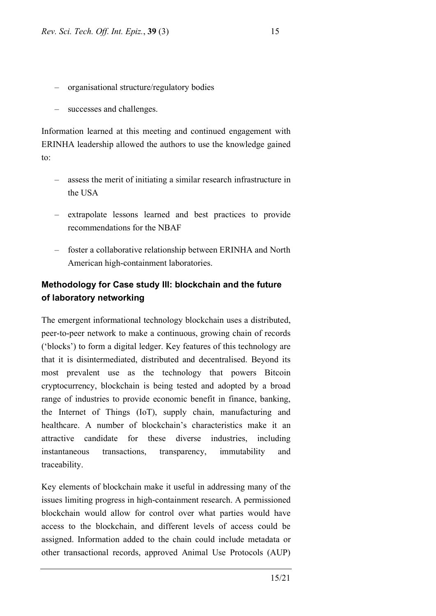- organisational structure/regulatory bodies
- successes and challenges.

Information learned at this meeting and continued engagement with ERINHA leadership allowed the authors to use the knowledge gained  $t^{\alpha}$ 

- assess the merit of initiating a similar research infrastructure in the USA
- extrapolate lessons learned and best practices to provide recommendations for the NBAF
- foster a collaborative relationship between ERINHA and North American high-containment laboratories.

### **Methodology for Case study III: blockchain and the future of laboratory networking**

The emergent informational technology blockchain uses a distributed, peer-to-peer network to make a continuous, growing chain of records ('blocks') to form a digital ledger. Key features of this technology are that it is disintermediated, distributed and decentralised. Beyond its most prevalent use as the technology that powers Bitcoin cryptocurrency, blockchain is being tested and adopted by a broad range of industries to provide economic benefit in finance, banking, the Internet of Things (IoT), supply chain, manufacturing and healthcare. A number of blockchain's characteristics make it an attractive candidate for these diverse industries, including instantaneous transactions, transparency, immutability and traceability.

Key elements of blockchain make it useful in addressing many of the issues limiting progress in high-containment research. A permissioned blockchain would allow for control over what parties would have access to the blockchain, and different levels of access could be assigned. Information added to the chain could include metadata or other transactional records, approved Animal Use Protocols (AUP)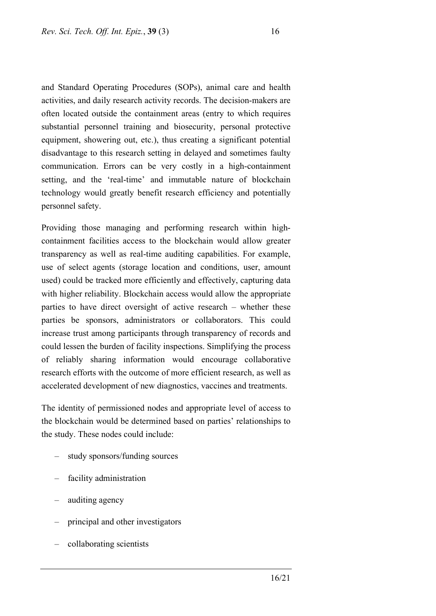and Standard Operating Procedures (SOPs), animal care and health activities, and daily research activity records. The decision-makers are often located outside the containment areas (entry to which requires substantial personnel training and biosecurity, personal protective equipment, showering out, etc.), thus creating a significant potential disadvantage to this research setting in delayed and sometimes faulty communication. Errors can be very costly in a high-containment setting, and the 'real-time' and immutable nature of blockchain technology would greatly benefit research efficiency and potentially personnel safety.

Providing those managing and performing research within highcontainment facilities access to the blockchain would allow greater transparency as well as real-time auditing capabilities. For example, use of select agents (storage location and conditions, user, amount used) could be tracked more efficiently and effectively, capturing data with higher reliability. Blockchain access would allow the appropriate parties to have direct oversight of active research – whether these parties be sponsors, administrators or collaborators. This could increase trust among participants through transparency of records and could lessen the burden of facility inspections. Simplifying the process of reliably sharing information would encourage collaborative research efforts with the outcome of more efficient research, as well as accelerated development of new diagnostics, vaccines and treatments.

The identity of permissioned nodes and appropriate level of access to the blockchain would be determined based on parties' relationships to the study. These nodes could include:

- study sponsors/funding sources
- facility administration
- auditing agency
- principal and other investigators
- collaborating scientists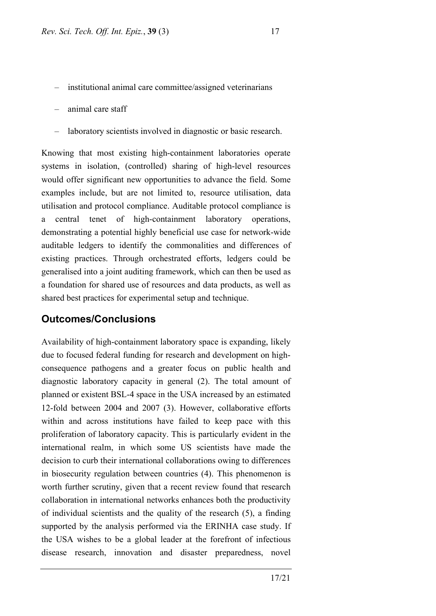– institutional animal care committee/assigned veterinarians

– animal care staff

laboratory scientists involved in diagnostic or basic research.

Knowing that most existing high-containment laboratories operate systems in isolation, (controlled) sharing of high-level resources would offer significant new opportunities to advance the field. Some examples include, but are not limited to, resource utilisation, data utilisation and protocol compliance. Auditable protocol compliance is a central tenet of high-containment laboratory operations, demonstrating a potential highly beneficial use case for network-wide auditable ledgers to identify the commonalities and differences of existing practices. Through orchestrated efforts, ledgers could be generalised into a joint auditing framework, which can then be used as a foundation for shared use of resources and data products, as well as shared best practices for experimental setup and technique.

#### **Outcomes/Conclusions**

Availability of high-containment laboratory space is expanding, likely due to focused federal funding for research and development on highconsequence pathogens and a greater focus on public health and diagnostic laboratory capacity in general (2). The total amount of planned or existent BSL-4 space in the USA increased by an estimated 12-fold between 2004 and 2007 (3). However, collaborative efforts within and across institutions have failed to keep pace with this proliferation of laboratory capacity. This is particularly evident in the international realm, in which some US scientists have made the decision to curb their international collaborations owing to differences in biosecurity regulation between countries (4). This phenomenon is worth further scrutiny, given that a recent review found that research collaboration in international networks enhances both the productivity of individual scientists and the quality of the research (5), a finding supported by the analysis performed via the ERINHA case study. If the USA wishes to be a global leader at the forefront of infectious disease research, innovation and disaster preparedness, novel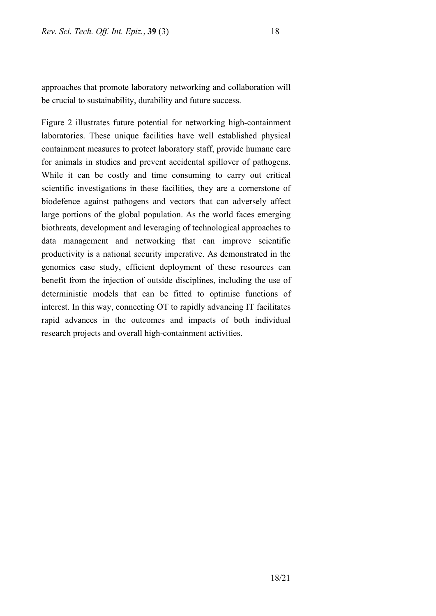approaches that promote laboratory networking and collaboration will be crucial to sustainability, durability and future success.

Figure 2 illustrates future potential for networking high-containment laboratories. These unique facilities have well established physical containment measures to protect laboratory staff, provide humane care for animals in studies and prevent accidental spillover of pathogens. While it can be costly and time consuming to carry out critical scientific investigations in these facilities, they are a cornerstone of biodefence against pathogens and vectors that can adversely affect large portions of the global population. As the world faces emerging biothreats, development and leveraging of technological approaches to data management and networking that can improve scientific productivity is a national security imperative. As demonstrated in the genomics case study, efficient deployment of these resources can benefit from the injection of outside disciplines, including the use of deterministic models that can be fitted to optimise functions of interest. In this way, connecting OT to rapidly advancing IT facilitates rapid advances in the outcomes and impacts of both individual research projects and overall high-containment activities.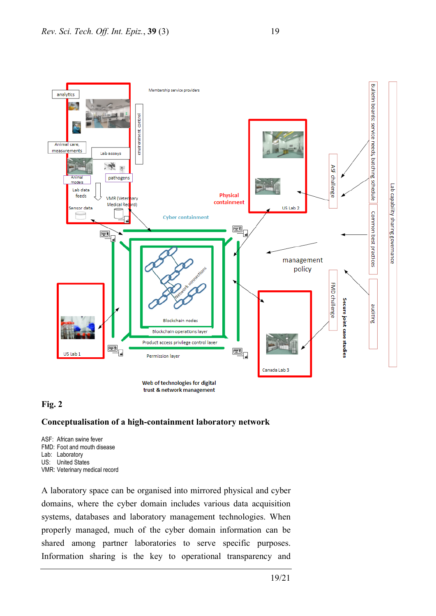



#### **Fig. 2**

#### **Conceptualisation of a high-containment laboratory network**

ASF: African swine fever FMD: Foot and mouth disease Lab: Laboratory US: United States VMR: Veterinary medical record

A laboratory space can be organised into mirrored physical and cyber domains, where the cyber domain includes various data acquisition systems, databases and laboratory management technologies. When properly managed, much of the cyber domain information can be shared among partner laboratories to serve specific purposes. Information sharing is the key to operational transparency and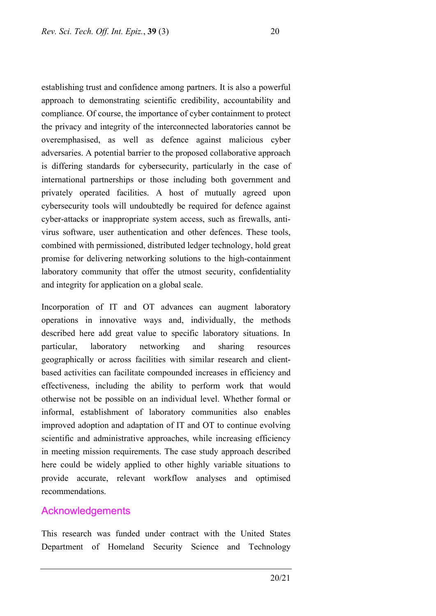establishing trust and confidence among partners. It is also a powerful approach to demonstrating scientific credibility, accountability and compliance. Of course, the importance of cyber containment to protect the privacy and integrity of the interconnected laboratories cannot be overemphasised, as well as defence against malicious cyber adversaries. A potential barrier to the proposed collaborative approach is differing standards for cybersecurity, particularly in the case of international partnerships or those including both government and privately operated facilities. A host of mutually agreed upon cybersecurity tools will undoubtedly be required for defence against cyber-attacks or inappropriate system access, such as firewalls, antivirus software, user authentication and other defences. These tools, combined with permissioned, distributed ledger technology, hold great promise for delivering networking solutions to the high-containment laboratory community that offer the utmost security, confidentiality and integrity for application on a global scale.

Incorporation of IT and OT advances can augment laboratory operations in innovative ways and, individually, the methods described here add great value to specific laboratory situations. In particular, laboratory networking and sharing resources geographically or across facilities with similar research and clientbased activities can facilitate compounded increases in efficiency and effectiveness, including the ability to perform work that would otherwise not be possible on an individual level. Whether formal or informal, establishment of laboratory communities also enables improved adoption and adaptation of IT and OT to continue evolving scientific and administrative approaches, while increasing efficiency in meeting mission requirements. The case study approach described here could be widely applied to other highly variable situations to provide accurate, relevant workflow analyses and optimised recommendations.

#### Acknowledgements

This research was funded under contract with the United States Department of Homeland Security Science and Technology